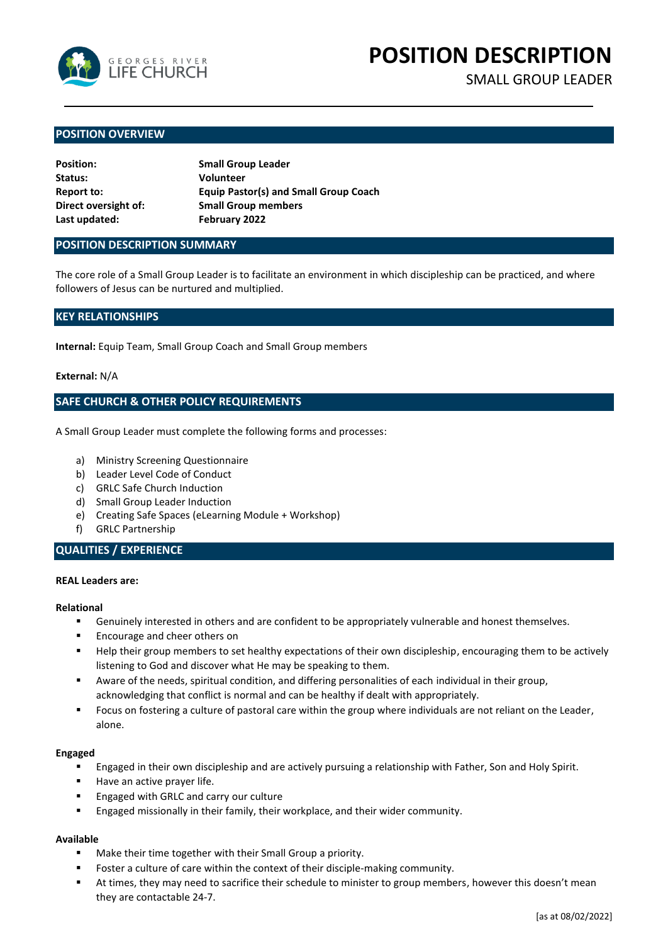

**POSITION DESCRIPTION**

SMALL GROUP LEADER

## **POSITION OVERVIEW**

| <b>Position:</b>     | <b>Small Group Leader</b>                    |
|----------------------|----------------------------------------------|
| Status:              | <b>Volunteer</b>                             |
| Report to:           | <b>Equip Pastor(s) and Small Group Coach</b> |
| Direct oversight of: | <b>Small Group members</b>                   |
| Last updated:        | February 2022                                |

#### **POSITION DESCRIPTION SUMMARY**

The core role of a Small Group Leader is to facilitate an environment in which discipleship can be practiced, and where followers of Jesus can be nurtured and multiplied.

# **KEY RELATIONSHIPS**

**Internal:** Equip Team, Small Group Coach and Small Group members

#### **External:** N/A

## **SAFE CHURCH & OTHER POLICY REQUIREMENTS**

A Small Group Leader must complete the following forms and processes:

- a) Ministry Screening Questionnaire
- b) Leader Level Code of Conduct
- c) GRLC Safe Church Induction
- d) Small Group Leader Induction
- e) Creating Safe Spaces (eLearning Module + Workshop)
- f) GRLC Partnership

# **QUALITIES / EXPERIENCE**

#### **REAL Leaders are:**

#### **Relational**

- Genuinely interested in others and are confident to be appropriately vulnerable and honest themselves.
- Encourage and cheer others on
- Help their group members to set healthy expectations of their own discipleship, encouraging them to be actively listening to God and discover what He may be speaking to them.
- Aware of the needs, spiritual condition, and differing personalities of each individual in their group, acknowledging that conflict is normal and can be healthy if dealt with appropriately.
- Focus on fostering a culture of pastoral care within the group where individuals are not reliant on the Leader, alone.

#### **Engaged**

- Engaged in their own discipleship and are actively pursuing a relationship with Father, Son and Holy Spirit.
- Have an active prayer life.
- Engaged with GRLC and carry our culture
- **Engaged missionally in their family, their workplace, and their wider community.**

#### **Available**

- Make their time together with their Small Group a priority.
- Foster a culture of care within the context of their disciple-making community.
- At times, they may need to sacrifice their schedule to minister to group members, however this doesn't mean they are contactable 24-7.